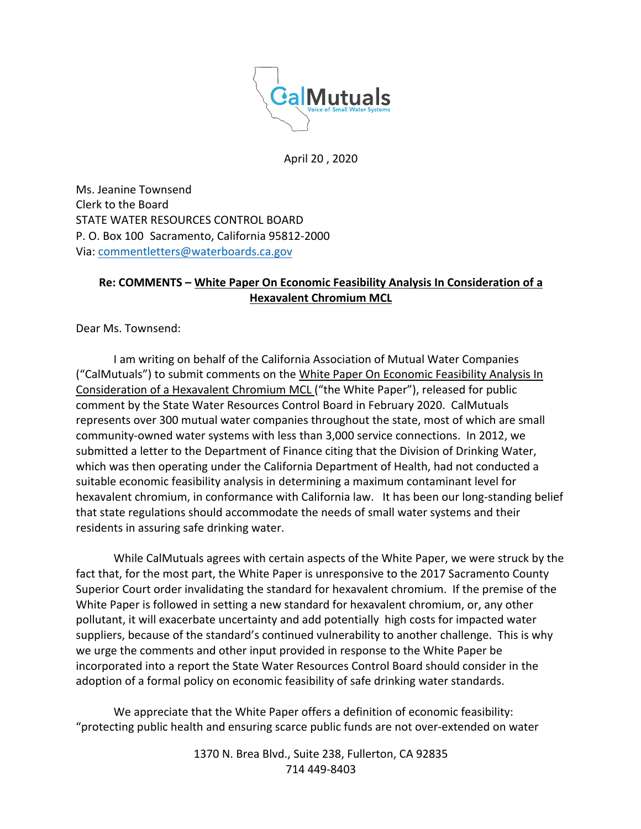

April 20 , 2020

Ms. Jeanine Townsend Clerk to the Board STATE WATER RESOURCES CONTROL BOARD P. O. Box 100 Sacramento, California 95812-2000 Via: commentletters@waterboards.ca.gov

## **Re: COMMENTS – White Paper On Economic Feasibility Analysis In Consideration of a Hexavalent Chromium MCL**

Dear Ms. Townsend:

I am writing on behalf of the California Association of Mutual Water Companies ("CalMutuals") to submit comments on the White Paper On Economic Feasibility Analysis In Consideration of a Hexavalent Chromium MCL ("the White Paper"), released for public comment by the State Water Resources Control Board in February 2020. CalMutuals represents over 300 mutual water companies throughout the state, most of which are small community-owned water systems with less than 3,000 service connections. In 2012, we submitted a letter to the Department of Finance citing that the Division of Drinking Water, which was then operating under the California Department of Health, had not conducted a suitable economic feasibility analysis in determining a maximum contaminant level for hexavalent chromium, in conformance with California law. It has been our long-standing belief that state regulations should accommodate the needs of small water systems and their residents in assuring safe drinking water.

While CalMutuals agrees with certain aspects of the White Paper, we were struck by the fact that, for the most part, the White Paper is unresponsive to the 2017 Sacramento County Superior Court order invalidating the standard for hexavalent chromium. If the premise of the White Paper is followed in setting a new standard for hexavalent chromium, or, any other pollutant, it will exacerbate uncertainty and add potentially high costs for impacted water suppliers, because of the standard's continued vulnerability to another challenge. This is why we urge the comments and other input provided in response to the White Paper be incorporated into a report the State Water Resources Control Board should consider in the adoption of a formal policy on economic feasibility of safe drinking water standards.

We appreciate that the White Paper offers a definition of economic feasibility: "protecting public health and ensuring scarce public funds are not over-extended on water

> 1370 N. Brea Blvd., Suite 238, Fullerton, CA 92835 714 449-8403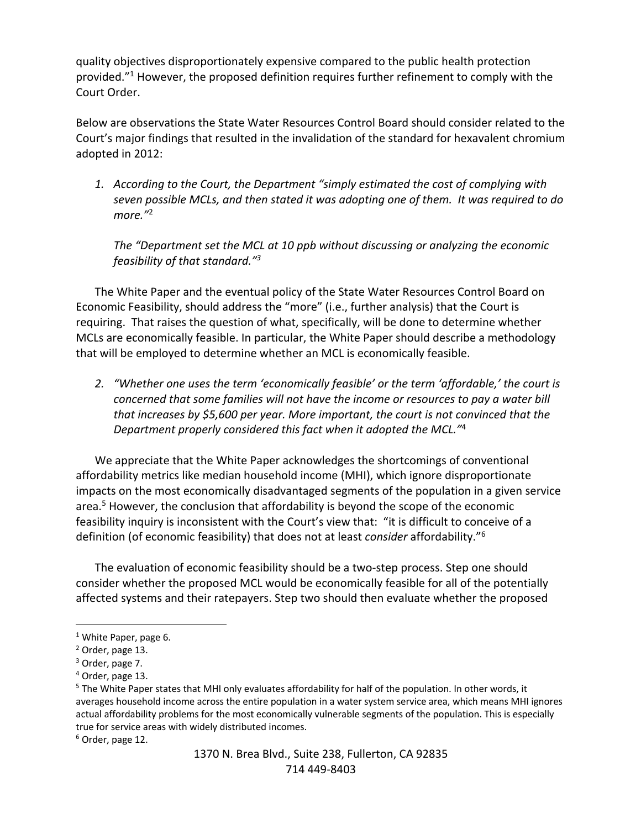quality objectives disproportionately expensive compared to the public health protection provided. $11$  However, the proposed definition requires further refinement to comply with the Court Order.

Below are observations the State Water Resources Control Board should consider related to the Court's major findings that resulted in the invalidation of the standard for hexavalent chromium adopted in 2012:

*1. According to the Court, the Department "simply estimated the cost of complying with seven possible MCLs, and then stated it was adopting one of them. It was required to do more."*<sup>2</sup>

*The "Department set the MCL at 10 ppb without discussing or analyzing the economic feasibility of that standard."3*

The White Paper and the eventual policy of the State Water Resources Control Board on Economic Feasibility, should address the "more" (i.e., further analysis) that the Court is requiring. That raises the question of what, specifically, will be done to determine whether MCLs are economically feasible. In particular, the White Paper should describe a methodology that will be employed to determine whether an MCL is economically feasible.

*2. "Whether one uses the term 'economically feasible' or the term 'affordable,' the court is concerned that some families will not have the income or resources to pay a water bill that increases by \$5,600 per year. More important, the court is not convinced that the Department properly considered this fact when it adopted the MCL."*<sup>4</sup>

We appreciate that the White Paper acknowledges the shortcomings of conventional affordability metrics like median household income (MHI), which ignore disproportionate impacts on the most economically disadvantaged segments of the population in a given service area.<sup>5</sup> However, the conclusion that affordability is beyond the scope of the economic feasibility inquiry is inconsistent with the Court's view that: "it is difficult to conceive of a definition (of economic feasibility) that does not at least *consider* affordability."6

The evaluation of economic feasibility should be a two-step process. Step one should consider whether the proposed MCL would be economically feasible for all of the potentially affected systems and their ratepayers. Step two should then evaluate whether the proposed

<sup>&</sup>lt;sup>1</sup> White Paper, page 6.

<sup>2</sup> Order, page 13.

<sup>3</sup> Order, page 7.

<sup>4</sup> Order, page 13.

<sup>&</sup>lt;sup>5</sup> The White Paper states that MHI only evaluates affordability for half of the population. In other words, it averages household income across the entire population in a water system service area, which means MHI ignores actual affordability problems for the most economically vulnerable segments of the population. This is especially true for service areas with widely distributed incomes.

<sup>6</sup> Order, page 12.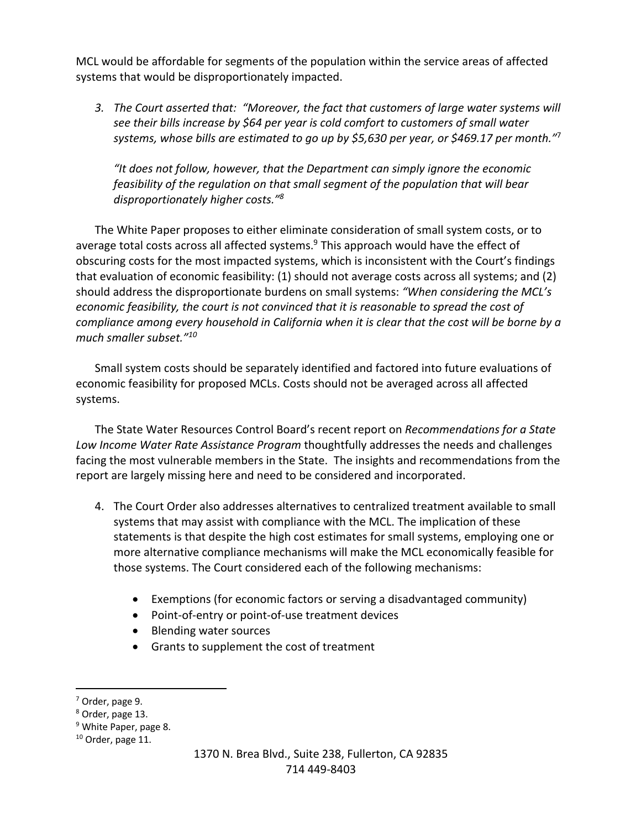MCL would be affordable for segments of the population within the service areas of affected systems that would be disproportionately impacted.

*3. The Court asserted that: "Moreover, the fact that customers of large water systems will see their bills increase by \$64 per year is cold comfort to customers of small water systems, whose bills are estimated to go up by \$5,630 per year, or \$469.17 per month."*<sup>7</sup>

*"It does not follow, however, that the Department can simply ignore the economic feasibility of the regulation on that small segment of the population that will bear disproportionately higher costs."8*

The White Paper proposes to either eliminate consideration of small system costs, or to average total costs across all affected systems.<sup>9</sup> This approach would have the effect of obscuring costs for the most impacted systems, which is inconsistent with the Court's findings that evaluation of economic feasibility: (1) should not average costs across all systems; and (2) should address the disproportionate burdens on small systems: *"When considering the MCL's economic feasibility, the court is not convinced that it is reasonable to spread the cost of compliance among every household in California when it is clear that the cost will be borne by a much smaller subset."10*

Small system costs should be separately identified and factored into future evaluations of economic feasibility for proposed MCLs. Costs should not be averaged across all affected systems.

The State Water Resources Control Board's recent report on *Recommendations for a State Low Income Water Rate Assistance Program* thoughtfully addresses the needs and challenges facing the most vulnerable members in the State. The insights and recommendations from the report are largely missing here and need to be considered and incorporated.

- 4. The Court Order also addresses alternatives to centralized treatment available to small systems that may assist with compliance with the MCL. The implication of these statements is that despite the high cost estimates for small systems, employing one or more alternative compliance mechanisms will make the MCL economically feasible for those systems. The Court considered each of the following mechanisms:
	- Exemptions (for economic factors or serving a disadvantaged community)
	- Point-of-entry or point-of-use treatment devices
	- Blending water sources
	- Grants to supplement the cost of treatment

<sup>7</sup> Order, page 9.

<sup>8</sup> Order, page 13.

<sup>&</sup>lt;sup>9</sup> White Paper, page 8.

<sup>10</sup> Order, page 11.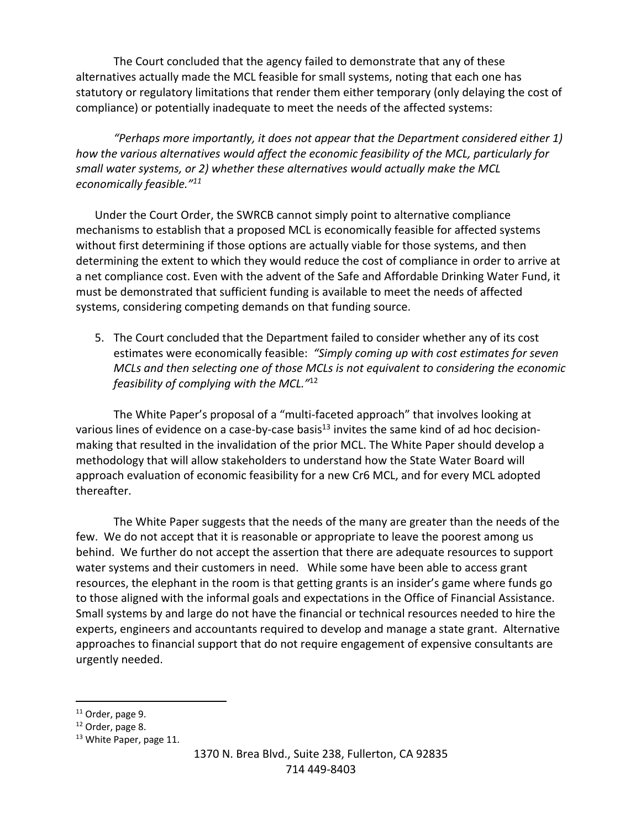The Court concluded that the agency failed to demonstrate that any of these alternatives actually made the MCL feasible for small systems, noting that each one has statutory or regulatory limitations that render them either temporary (only delaying the cost of compliance) or potentially inadequate to meet the needs of the affected systems:

*"Perhaps more importantly, it does not appear that the Department considered either 1) how the various alternatives would affect the economic feasibility of the MCL, particularly for small water systems, or 2) whether these alternatives would actually make the MCL economically feasible."11*

Under the Court Order, the SWRCB cannot simply point to alternative compliance mechanisms to establish that a proposed MCL is economically feasible for affected systems without first determining if those options are actually viable for those systems, and then determining the extent to which they would reduce the cost of compliance in order to arrive at a net compliance cost. Even with the advent of the Safe and Affordable Drinking Water Fund, it must be demonstrated that sufficient funding is available to meet the needs of affected systems, considering competing demands on that funding source.

5. The Court concluded that the Department failed to consider whether any of its cost estimates were economically feasible: *"Simply coming up with cost estimates for seven MCLs and then selecting one of those MCLs is not equivalent to considering the economic feasibility of complying with the MCL."*<sup>12</sup>

The White Paper's proposal of a "multi-faceted approach" that involves looking at various lines of evidence on a case-by-case basis<sup>13</sup> invites the same kind of ad hoc decisionmaking that resulted in the invalidation of the prior MCL. The White Paper should develop a methodology that will allow stakeholders to understand how the State Water Board will approach evaluation of economic feasibility for a new Cr6 MCL, and for every MCL adopted thereafter.

The White Paper suggests that the needs of the many are greater than the needs of the few. We do not accept that it is reasonable or appropriate to leave the poorest among us behind. We further do not accept the assertion that there are adequate resources to support water systems and their customers in need. While some have been able to access grant resources, the elephant in the room is that getting grants is an insider's game where funds go to those aligned with the informal goals and expectations in the Office of Financial Assistance. Small systems by and large do not have the financial or technical resources needed to hire the experts, engineers and accountants required to develop and manage a state grant. Alternative approaches to financial support that do not require engagement of expensive consultants are urgently needed.

<sup>&</sup>lt;sup>11</sup> Order, page 9.

<sup>12</sup> Order, page 8.

<sup>&</sup>lt;sup>13</sup> White Paper, page 11.